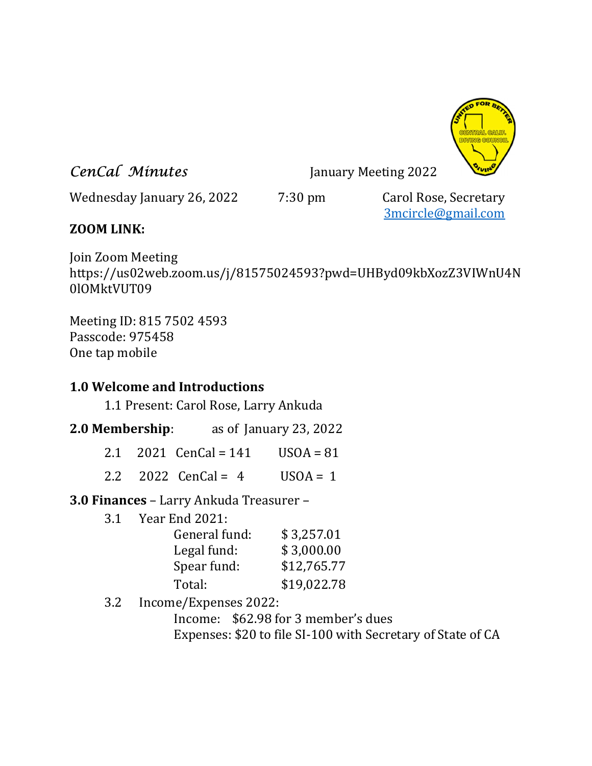

**CenCal Minutes** January Meeting 2022

Wednesday January 26, 2022 7:30 pm Carol Rose, Secretary

3mcircle@gmail.com

# ZOOM LINK:

Join Zoom Meeting https://us02web.zoom.us/j/81575024593?pwd=UHByd09kbXozZ3VIWnU4N 0lOMktVUT09

Meeting ID: 815 7502 4593 Passcode: 975458 One tap mobile

## 1.0 Welcome and Introductions

1.1 Present: Carol Rose, Larry Ankuda

- 2.0 Membership: as of January 23, 2022
	- 2.1 2021 CenCal =  $141$  USOA =  $81$
	- 2.2 2022 CenCal =  $4$  USOA = 1

3.0 Finances – Larry Ankuda Treasurer –

3.1 Year End 2021:

| General fund:<br>Legal fund: | \$3,257.01<br>\$3,000.00 |
|------------------------------|--------------------------|
| Spear fund:                  | \$12,765.77              |
| Total:                       | \$19,022.78              |

3.2 Income/Expenses 2022:

 Income: \$62.98 for 3 member's dues Expenses: \$20 to file SI-100 with Secretary of State of CA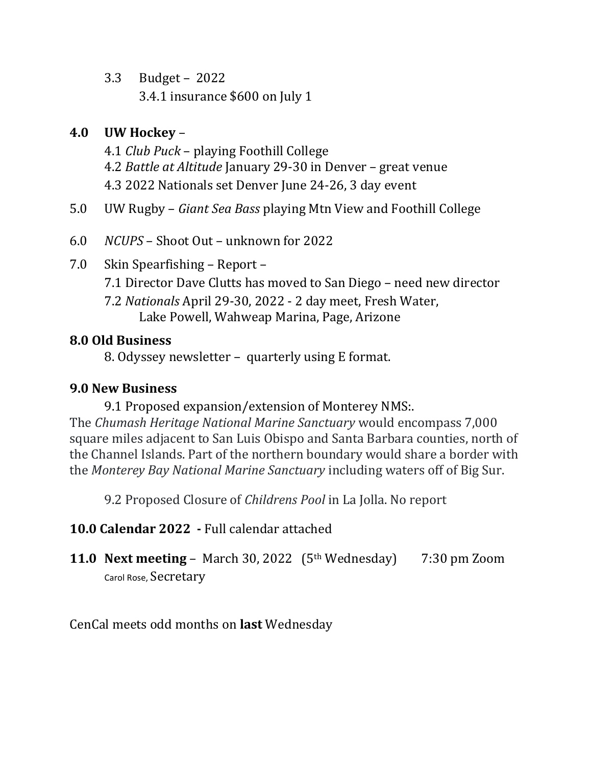3.3 Budget – 2022 3.4.1 insurance \$600 on July 1

# 4.0 UW Hockey –

- 4.1 Club Puck playing Foothill College 4.2 Battle at Altitude January 29-30 in Denver – great venue 4.3 2022 Nationals set Denver June 24-26, 3 day event
- 5.0 UW Rugby Giant Sea Bass playing Mtn View and Foothill College
- 6.0 NCUPS Shoot Out unknown for 2022
- 7.0 Skin Spearfishing Report
	- 7.1 Director Dave Clutts has moved to San Diego need new director
	- 7.2 Nationals April 29-30, 2022 2 day meet, Fresh Water, Lake Powell, Wahweap Marina, Page, Arizone

## 8.0 Old Business

8. Odyssey newsletter – quarterly using E format.

## 9.0 New Business

 9.1 Proposed expansion/extension of Monterey NMS:. The Chumash Heritage National Marine Sanctuary would encompass 7,000 square miles adjacent to San Luis Obispo and Santa Barbara counties, north of the Channel Islands. Part of the northern boundary would share a border with the Monterey Bay National Marine Sanctuary including waters off of Big Sur.

9.2 Proposed Closure of Childrens Pool in La Jolla. No report

- 10.0 Calendar 2022 Full calendar attached
- **11.0 Next meeting –** March 30, 2022  $(5<sup>th</sup>$  Wednesday) 7:30 pm Zoom Carol Rose, Secretary

CenCal meets odd months on last Wednesday